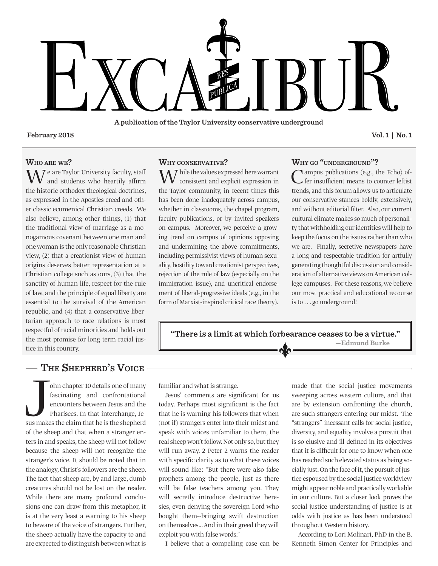

**A publication of the Taylor University conservative underground**

**February 2018 Vol. 1 | No. 1**

### **Who are we?**

 $\mathcal T$  e are Taylor University faculty, staff and students who heartily affirm the historic orthodox theological doctrines, as expressed in the Apostles creed and other classic ecumenical Christian creeds. We also believe, among other things, (1) that the traditional view of marriage as a monogamous covenant between one man and one woman is the only reasonable Christian view, (2) that a creationist view of human origins deserves better representation at a Christian college such as ours, (3) that the sanctity of human life, respect for the rule of law, and the principle of equal liberty are essential to the survival of the American republic, and (4) that a conservative-libertarian approach to race relations is most respectful of racial minorities and holds out the most promise for long term racial justice in this country.

### **Why conservative?**

 $\boldsymbol{\Lambda}$   $\boldsymbol{7}$  hile the values expressed here warrant consistent and explicit expression in the Taylor community, in recent times this has been done inadequately across campus, whether in classrooms, the chapel program, faculty publications, or by invited speakers on campus. Moreover, we perceive a growing trend on campus of opinions opposing and undermining the above commitments, including permissivist views of human sexuality, hostility toward creationist perspectives, rejection of the rule of law (especially on the immigration issue), and uncritical endorsement of liberal-progressive ideals (e.g., in the form of Marxist-inspired critical race theory).

### **Why go "underground"?**

 $\bigcap$  ampus publications (e.g., the Echo) offer insufficient means to counter leftist trends, and this forum allows us to articulate our conservative stances boldly, extensively, and without editorial filter. Also, our current cultural climate makes so much of personality that withholding our identities will help to keep the focus on the issues rather than who we are. Finally, secretive newspapers have a long and respectable tradition for artfully generating thoughtful discussion and consideration of alternative views on American college campuses. For these reasons, we believe our most practical and educational recourse is to . . . go underground!

## **"There is a limit at which forbearance ceases to be a virtue." —Edmund Burke**

## **The Shepherd's Voice**

sus make ohn chapter 10 details one of many fascinating and confrontational encounters between Jesus and the Pharisees. In that interchange, Jesus makes the claim that he is the shepherd of the sheep and that when a stranger enters in and speaks, the sheep will not follow because the sheep will not recognize the stranger's voice. It should be noted that in the analogy, Christ's followers are the sheep. The fact that sheep are, by and large, dumb creatures should not be lost on the reader. While there are many profound conclusions one can draw from this metaphor, it is at the very least a warning to his sheep to beware of the voice of strangers. Further, the sheep actually have the capacity to and are expected to distinguish between what is

familiar and what is strange.

Jesus' comments are significant for us today. Perhaps most significant is the fact that he is warning his followers that when (not if) strangers enter into their midst and speak with voices unfamiliar to them, the real sheep won't follow. Not only so, but they will run away. 2 Peter 2 warns the reader with specific clarity as to what these voices will sound like: "But there were also false prophets among the people, just as there will be false teachers among you. They will secretly introduce destructive heresies, even denying the sovereign Lord who bought them--bringing swift destruction on themselves… And in their greed they will exploit you with false words."

I believe that a compelling case can be

made that the social justice movements sweeping across western culture, and that are by extension confronting the church, are such strangers entering our midst. The "strangers" incessant calls for social justice, diversity, and equality involve a pursuit that is so elusive and ill-defined in its objectives that it is difficult for one to know when one has reached such elevated status as being socially just. On the face of it, the pursuit of justice espoused by the social justice worldview might appear noble and practically workable in our culture. But a closer look proves the social justice understanding of justice is at odds with justice as has been understood throughout Western history.

According to Lori Molinari, PhD in the B. Kenneth Simon Center for Principles and